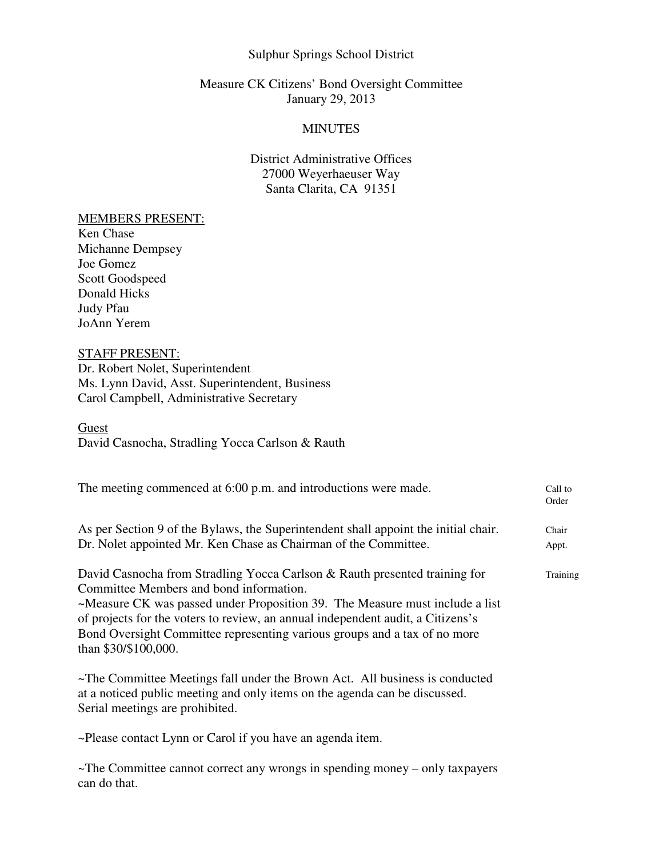### Sulphur Springs School District

## Measure CK Citizens' Bond Oversight Committee January 29, 2013

## MINUTES

## District Administrative Offices 27000 Weyerhaeuser Way Santa Clarita, CA 91351

#### MEMBERS PRESENT:

Ken Chase Michanne Dempsey Joe Gomez Scott Goodspeed Donald Hicks Judy Pfau JoAnn Yerem

# STAFF PRESENT:

can do that.

Dr. Robert Nolet, Superintendent Ms. Lynn David, Asst. Superintendent, Business Carol Campbell, Administrative Secretary

**Guest** David Casnocha, Stradling Yocca Carlson & Rauth

| The meeting commenced at 6:00 p.m. and introductions were made.                                                                                                                                                                                                                                                                                                                               | Call to<br>Order |
|-----------------------------------------------------------------------------------------------------------------------------------------------------------------------------------------------------------------------------------------------------------------------------------------------------------------------------------------------------------------------------------------------|------------------|
| As per Section 9 of the Bylaws, the Superintendent shall appoint the initial chair.<br>Dr. Nolet appointed Mr. Ken Chase as Chairman of the Committee.                                                                                                                                                                                                                                        | Chair<br>Appt.   |
| David Casnocha from Stradling Yocca Carlson & Rauth presented training for<br>Committee Members and bond information.<br>~Measure CK was passed under Proposition 39. The Measure must include a list<br>of projects for the voters to review, an annual independent audit, a Citizens's<br>Bond Oversight Committee representing various groups and a tax of no more<br>than \$30/\$100,000. | Training         |
| ~The Committee Meetings fall under the Brown Act. All business is conducted<br>at a noticed public meeting and only items on the agenda can be discussed.<br>Serial meetings are prohibited.                                                                                                                                                                                                  |                  |
| ~Please contact Lynn or Carol if you have an agenda item.                                                                                                                                                                                                                                                                                                                                     |                  |
| $\sim$ The Committee cannot correct any wrongs in spending money – only taxpayers                                                                                                                                                                                                                                                                                                             |                  |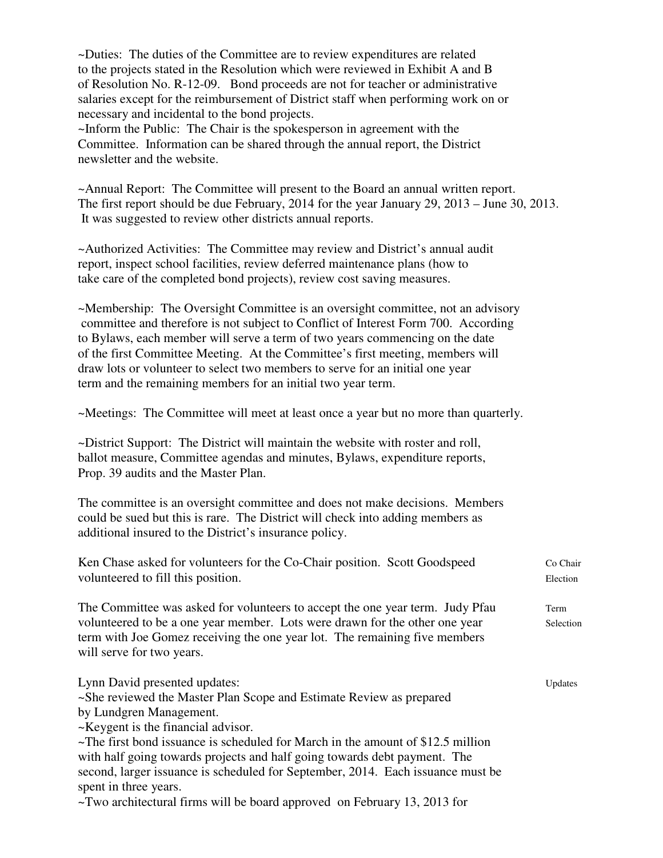~Duties: The duties of the Committee are to review expenditures are related to the projects stated in the Resolution which were reviewed in Exhibit A and B of Resolution No. R-12-09. Bond proceeds are not for teacher or administrative salaries except for the reimbursement of District staff when performing work on or necessary and incidental to the bond projects.

~Inform the Public: The Chair is the spokesperson in agreement with the Committee. Information can be shared through the annual report, the District newsletter and the website.

~Annual Report: The Committee will present to the Board an annual written report. The first report should be due February, 2014 for the year January 29, 2013 – June 30, 2013. It was suggested to review other districts annual reports.

~Authorized Activities: The Committee may review and District's annual audit report, inspect school facilities, review deferred maintenance plans (how to take care of the completed bond projects), review cost saving measures.

~Membership: The Oversight Committee is an oversight committee, not an advisory committee and therefore is not subject to Conflict of Interest Form 700. According to Bylaws, each member will serve a term of two years commencing on the date of the first Committee Meeting. At the Committee's first meeting, members will draw lots or volunteer to select two members to serve for an initial one year term and the remaining members for an initial two year term.

~Meetings: The Committee will meet at least once a year but no more than quarterly.

~District Support: The District will maintain the website with roster and roll, ballot measure, Committee agendas and minutes, Bylaws, expenditure reports, Prop. 39 audits and the Master Plan.

The committee is an oversight committee and does not make decisions. Members could be sued but this is rare. The District will check into adding members as additional insured to the District's insurance policy.

| Ken Chase asked for volunteers for the Co-Chair position. Scott Goodspeed<br>volunteered to fill this position.                                                                                                                                                         | Co Chair<br>Election |
|-------------------------------------------------------------------------------------------------------------------------------------------------------------------------------------------------------------------------------------------------------------------------|----------------------|
| The Committee was asked for volunteers to accept the one year term. Judy Pfau<br>volunteered to be a one year member. Lots were drawn for the other one year<br>term with Joe Gomez receiving the one year lot. The remaining five members<br>will serve for two years. | Term<br>Selection    |
| Lynn David presented updates:<br>~She reviewed the Master Plan Scope and Estimate Review as prepared<br>by Lundgren Management.                                                                                                                                         | Updates              |
| ~Keygent is the financial advisor.                                                                                                                                                                                                                                      |                      |
| $\sim$ The first bond issuance is scheduled for March in the amount of \$12.5 million                                                                                                                                                                                   |                      |
| with half going towards projects and half going towards debt payment. The                                                                                                                                                                                               |                      |
| second, larger issuance is scheduled for September, 2014. Each issuance must be<br>spent in three years.                                                                                                                                                                |                      |
| $\sim$ Two architectural firms will be board approved on February 13, 2013 for                                                                                                                                                                                          |                      |